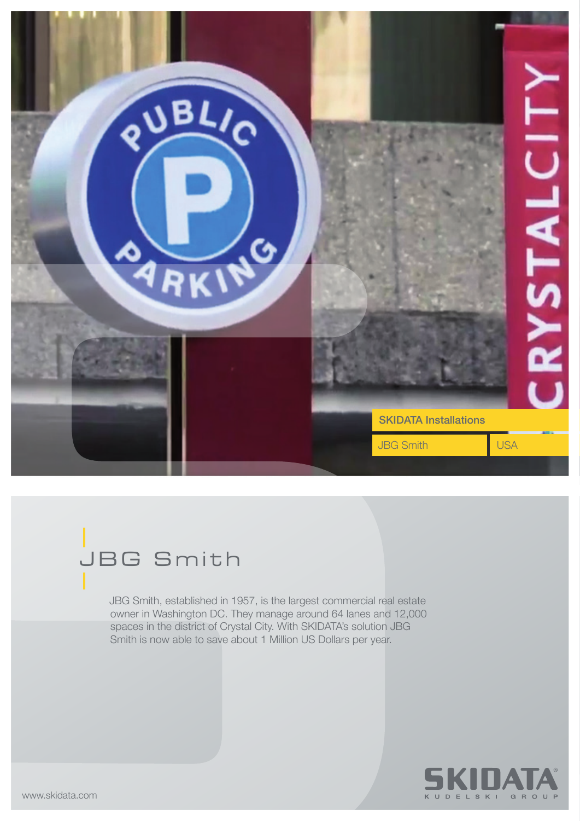

## JBG Smith

JBG Smith, established in 1957, is the largest commercial real estate owner in Washington DC. They manage around 64 lanes and 12,000 spaces in the district of Crystal City. With SKIDATA's solution JBG Smith is now able to save about 1 Million US Dollars per year.